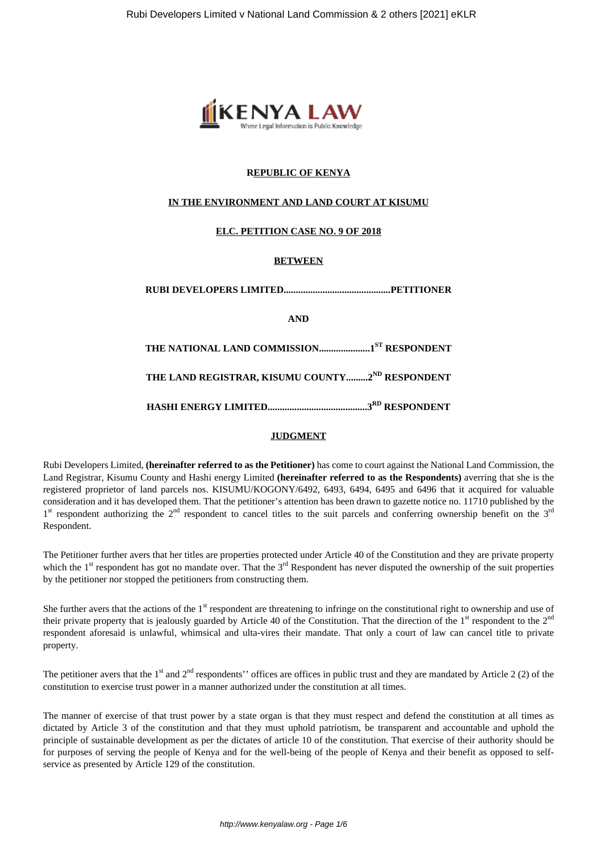

# **REPUBLIC OF KENYA**

## **IN THE ENVIRONMENT AND LAND COURT AT KISUMU**

## **ELC. PETITION CASE NO. 9 OF 2018**

## **BETWEEN**

**RUBI DEVELOPERS LIMITED............................................PETITIONER**

**AND**

**THE NATIONAL LAND COMMISSION.....................1ST RESPONDENT**

**THE LAND REGISTRAR, KISUMU COUNTY.........2ND RESPONDENT**

**HASHI ENERGY LIMITED.........................................3RD RESPONDENT**

## **JUDGMENT**

Rubi Developers Limited, **(hereinafter referred to as the Petitioner)** has come to court against the National Land Commission, the Land Registrar, Kisumu County and Hashi energy Limited **(hereinafter referred to as the Respondents)** averring that she is the registered proprietor of land parcels nos. KISUMU/KOGONY/6492, 6493, 6494, 6495 and 6496 that it acquired for valuable consideration and it has developed them. That the petitioner's attention has been drawn to gazette notice no. 11710 published by the 1<sup>st</sup> respondent authorizing the 2<sup>nd</sup> respondent to cancel titles to the suit parcels and conferring ownership benefit on the 3<sup>rd</sup> Respondent.

The Petitioner further avers that her titles are properties protected under Article 40 of the Constitution and they are private property which the  $1<sup>st</sup>$  respondent has got no mandate over. That the  $3<sup>rd</sup>$  Respondent has never disputed the ownership of the suit properties by the petitioner nor stopped the petitioners from constructing them.

She further avers that the actions of the 1<sup>st</sup> respondent are threatening to infringe on the constitutional right to ownership and use of their private property that is jealously guarded by Article 40 of the Constitution. That the direction of the  $1<sup>st</sup>$  respondent to the  $2<sup>nd</sup>$ respondent aforesaid is unlawful, whimsical and ulta-vires their mandate. That only a court of law can cancel title to private property.

The petitioner avers that the  $1<sup>st</sup>$  and  $2<sup>nd</sup>$  respondents'' offices are offices in public trust and they are mandated by Article 2 (2) of the constitution to exercise trust power in a manner authorized under the constitution at all times.

The manner of exercise of that trust power by a state organ is that they must respect and defend the constitution at all times as dictated by Article 3 of the constitution and that they must uphold patriotism, be transparent and accountable and uphold the principle of sustainable development as per the dictates of article 10 of the constitution. That exercise of their authority should be for purposes of serving the people of Kenya and for the well-being of the people of Kenya and their benefit as opposed to selfservice as presented by Article 129 of the constitution.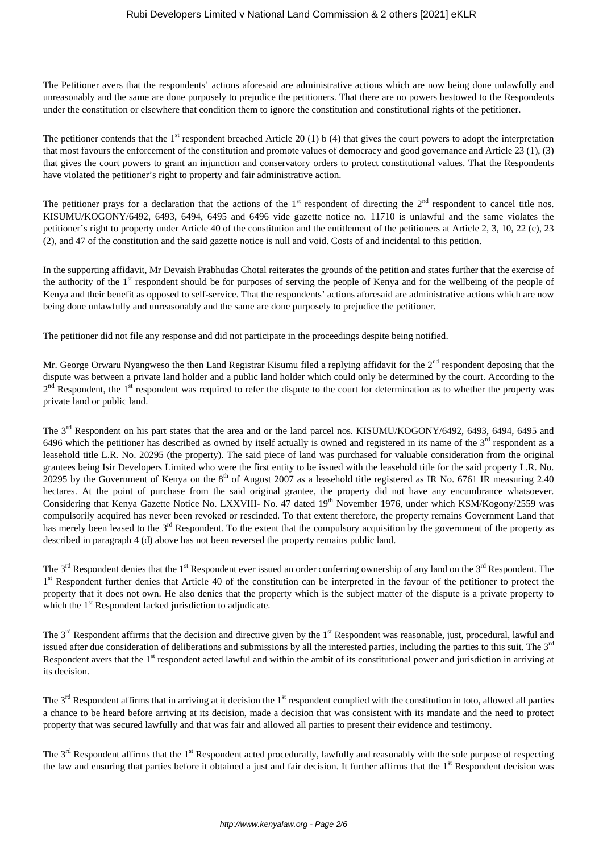The Petitioner avers that the respondents' actions aforesaid are administrative actions which are now being done unlawfully and unreasonably and the same are done purposely to prejudice the petitioners. That there are no powers bestowed to the Respondents under the constitution or elsewhere that condition them to ignore the constitution and constitutional rights of the petitioner.

The petitioner contends that the  $1<sup>st</sup>$  respondent breached Article 20 (1) b (4) that gives the court powers to adopt the interpretation that most favours the enforcement of the constitution and promote values of democracy and good governance and Article 23 (1), (3) that gives the court powers to grant an injunction and conservatory orders to protect constitutional values. That the Respondents have violated the petitioner's right to property and fair administrative action.

The petitioner prays for a declaration that the actions of the  $1<sup>st</sup>$  respondent of directing the  $2<sup>nd</sup>$  respondent to cancel title nos. KISUMU/KOGONY/6492, 6493, 6494, 6495 and 6496 vide gazette notice no. 11710 is unlawful and the same violates the petitioner's right to property under Article 40 of the constitution and the entitlement of the petitioners at Article 2, 3, 10, 22 (c), 23 (2), and 47 of the constitution and the said gazette notice is null and void. Costs of and incidental to this petition.

In the supporting affidavit, Mr Devaish Prabhudas Chotal reiterates the grounds of the petition and states further that the exercise of the authority of the 1<sup>st</sup> respondent should be for purposes of serving the people of Kenya and for the wellbeing of the people of Kenya and their benefit as opposed to self-service. That the respondents' actions aforesaid are administrative actions which are now being done unlawfully and unreasonably and the same are done purposely to prejudice the petitioner.

The petitioner did not file any response and did not participate in the proceedings despite being notified.

Mr. George Orwaru Nyangweso the then Land Registrar Kisumu filed a replying affidavit for the  $2<sup>nd</sup>$  respondent deposing that the dispute was between a private land holder and a public land holder which could only be determined by the court. According to the  $2<sup>nd</sup>$  Respondent, the 1<sup>st</sup> respondent was required to refer the dispute to the court for determination as to whether the property was private land or public land.

The 3<sup>rd</sup> Respondent on his part states that the area and or the land parcel nos. KISUMU/KOGONY/6492, 6493, 6494, 6495 and 6496 which the petitioner has described as owned by itself actually is owned and registered in its name of the  $3<sup>rd</sup>$  respondent as a leasehold title L.R. No. 20295 (the property). The said piece of land was purchased for valuable consideration from the original grantees being Isir Developers Limited who were the first entity to be issued with the leasehold title for the said property L.R. No. 20295 by the Government of Kenya on the  $8<sup>th</sup>$  of August 2007 as a leasehold title registered as IR No. 6761 IR measuring 2.40 hectares. At the point of purchase from the said original grantee, the property did not have any encumbrance whatsoever. Considering that Kenya Gazette Notice No. LXXVIII- No. 47 dated 19<sup>th</sup> November 1976, under which KSM/Kogony/2559 was compulsorily acquired has never been revoked or rescinded. To that extent therefore, the property remains Government Land that has merely been leased to the 3<sup>rd</sup> Respondent. To the extent that the compulsory acquisition by the government of the property as described in paragraph 4 (d) above has not been reversed the property remains public land.

The  $3<sup>rd</sup>$  Respondent denies that the 1<sup>st</sup> Respondent ever issued an order conferring ownership of any land on the  $3<sup>rd</sup>$  Respondent. The 1<sup>st</sup> Respondent further denies that Article 40 of the constitution can be interpreted in the favour of the petitioner to protect the property that it does not own. He also denies that the property which is the subject matter of the dispute is a private property to which the  $1<sup>st</sup>$  Respondent lacked jurisdiction to adjudicate.

The  $3<sup>rd</sup>$  Respondent affirms that the decision and directive given by the  $1<sup>st</sup>$  Respondent was reasonable, just, procedural, lawful and issued after due consideration of deliberations and submissions by all the interested parties, including the parties to this suit. The  $3<sup>rd</sup>$ Respondent avers that the 1<sup>st</sup> respondent acted lawful and within the ambit of its constitutional power and jurisdiction in arriving at its decision.

The 3<sup>rd</sup> Respondent affirms that in arriving at it decision the 1<sup>st</sup> respondent complied with the constitution in toto, allowed all parties a chance to be heard before arriving at its decision, made a decision that was consistent with its mandate and the need to protect property that was secured lawfully and that was fair and allowed all parties to present their evidence and testimony.

The  $3<sup>rd</sup>$  Respondent affirms that the  $1<sup>st</sup>$  Respondent acted procedurally, lawfully and reasonably with the sole purpose of respecting the law and ensuring that parties before it obtained a just and fair decision. It further affirms that the  $1<sup>st</sup>$  Respondent decision was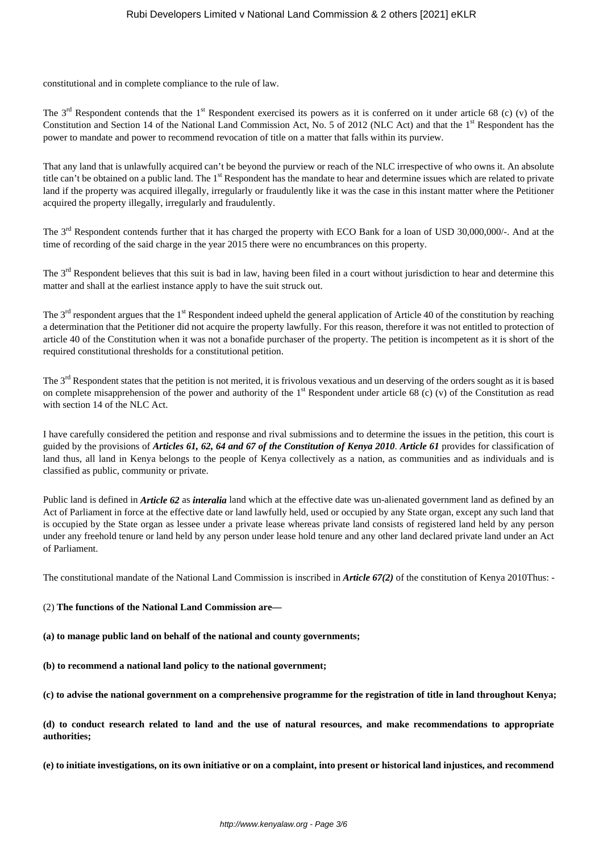constitutional and in complete compliance to the rule of law.

The  $3<sup>rd</sup>$  Respondent contends that the 1<sup>st</sup> Respondent exercised its powers as it is conferred on it under article 68 (c) (v) of the Constitution and Section 14 of the National Land Commission Act, No. 5 of 2012 (NLC Act) and that the  $1<sup>st</sup>$  Respondent has the power to mandate and power to recommend revocation of title on a matter that falls within its purview.

That any land that is unlawfully acquired can't be beyond the purview or reach of the NLC irrespective of who owns it. An absolute title can't be obtained on a public land. The 1<sup>st</sup> Respondent has the mandate to hear and determine issues which are related to private land if the property was acquired illegally, irregularly or fraudulently like it was the case in this instant matter where the Petitioner acquired the property illegally, irregularly and fraudulently.

The 3<sup>rd</sup> Respondent contends further that it has charged the property with ECO Bank for a loan of USD 30,000,000/-. And at the time of recording of the said charge in the year 2015 there were no encumbrances on this property.

The  $3<sup>rd</sup>$  Respondent believes that this suit is bad in law, having been filed in a court without jurisdiction to hear and determine this matter and shall at the earliest instance apply to have the suit struck out.

The  $3<sup>rd</sup>$  respondent argues that the 1<sup>st</sup> Respondent indeed upheld the general application of Article 40 of the constitution by reaching a determination that the Petitioner did not acquire the property lawfully. For this reason, therefore it was not entitled to protection of article 40 of the Constitution when it was not a bonafide purchaser of the property. The petition is incompetent as it is short of the required constitutional thresholds for a constitutional petition.

The 3<sup>rd</sup> Respondent states that the petition is not merited, it is frivolous vexatious and un deserving of the orders sought as it is based on complete misapprehension of the power and authority of the 1st Respondent under article 68 (c) (v) of the Constitution as read with section 14 of the NLC Act.

I have carefully considered the petition and response and rival submissions and to determine the issues in the petition, this court is guided by the provisions of *Articles 61, 62, 64 and 67 of the Constitution of Kenya 2010*. *Article 61* provides for classification of land thus, all land in Kenya belongs to the people of Kenya collectively as a nation, as communities and as individuals and is classified as public, community or private.

Public land is defined in *Article 62* as *interalia* land which at the effective date was un-alienated government land as defined by an Act of Parliament in force at the effective date or land lawfully held, used or occupied by any State organ, except any such land that is occupied by the State organ as lessee under a private lease whereas private land consists of registered land held by any person under any freehold tenure or land held by any person under lease hold tenure and any other land declared private land under an Act of Parliament.

The constitutional mandate of the National Land Commission is inscribed in *Article 67(2)* of the constitution of Kenya 2010Thus: -

# (2) **The functions of the National Land Commission are—**

- **(a) to manage public land on behalf of the national and county governments;**
- **(b) to recommend a national land policy to the national government;**
- **(c) to advise the national government on a comprehensive programme for the registration of title in land throughout Kenya;**

**(d) to conduct research related to land and the use of natural resources, and make recommendations to appropriate authorities;**

**(e) to initiate investigations, on its own initiative or on a complaint, into present or historical land injustices, and recommend**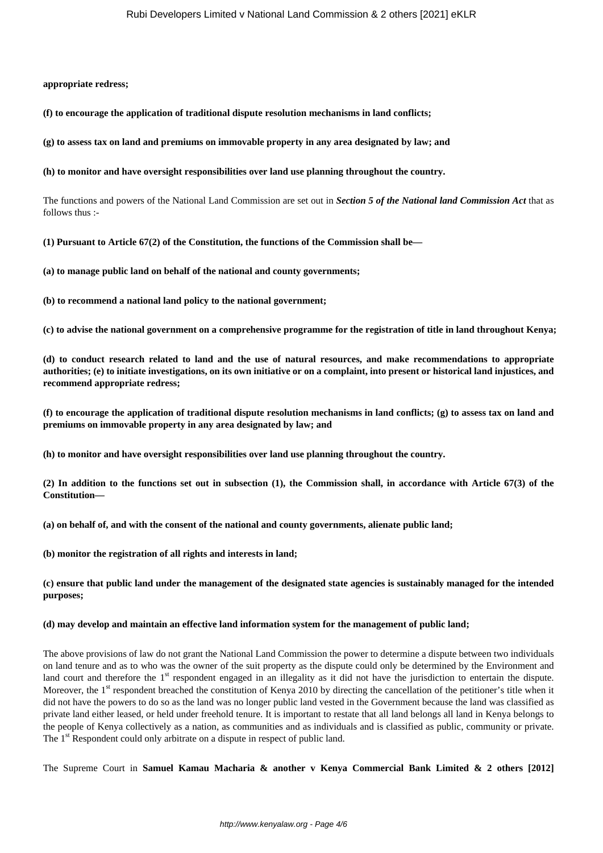**appropriate redress;**

**(f) to encourage the application of traditional dispute resolution mechanisms in land conflicts;**

**(g) to assess tax on land and premiums on immovable property in any area designated by law; and**

**(h) to monitor and have oversight responsibilities over land use planning throughout the country.**

The functions and powers of the National Land Commission are set out in *Section 5 of the National land Commission Act* that as follows thus :-

**(1) Pursuant to Article 67(2) of the Constitution, the functions of the Commission shall be—** 

**(a) to manage public land on behalf of the national and county governments;** 

**(b) to recommend a national land policy to the national government;** 

**(c) to advise the national government on a comprehensive programme for the registration of title in land throughout Kenya;** 

**(d) to conduct research related to land and the use of natural resources, and make recommendations to appropriate authorities; (e) to initiate investigations, on its own initiative or on a complaint, into present or historical land injustices, and recommend appropriate redress;** 

**(f) to encourage the application of traditional dispute resolution mechanisms in land conflicts; (g) to assess tax on land and premiums on immovable property in any area designated by law; and** 

**(h) to monitor and have oversight responsibilities over land use planning throughout the country.** 

**(2) In addition to the functions set out in subsection (1), the Commission shall, in accordance with Article 67(3) of the Constitution—** 

**(a) on behalf of, and with the consent of the national and county governments, alienate public land;** 

**(b) monitor the registration of all rights and interests in land;**

**(c) ensure that public land under the management of the designated state agencies is sustainably managed for the intended purposes;** 

### **(d) may develop and maintain an effective land information system for the management of public land;**

The above provisions of law do not grant the National Land Commission the power to determine a dispute between two individuals on land tenure and as to who was the owner of the suit property as the dispute could only be determined by the Environment and land court and therefore the 1<sup>st</sup> respondent engaged in an illegality as it did not have the jurisdiction to entertain the dispute. Moreover, the 1<sup>st</sup> respondent breached the constitution of Kenya 2010 by directing the cancellation of the petitioner's title when it did not have the powers to do so as the land was no longer public land vested in the Government because the land was classified as private land either leased, or held under freehold tenure. It is important to restate that all land belongs all land in Kenya belongs to the people of Kenya collectively as a nation, as communities and as individuals and is classified as public, community or private. The 1<sup>st</sup> Respondent could only arbitrate on a dispute in respect of public land.

The Supreme Court in **Samuel Kamau Macharia & another v Kenya Commercial Bank Limited & 2 others [2012]**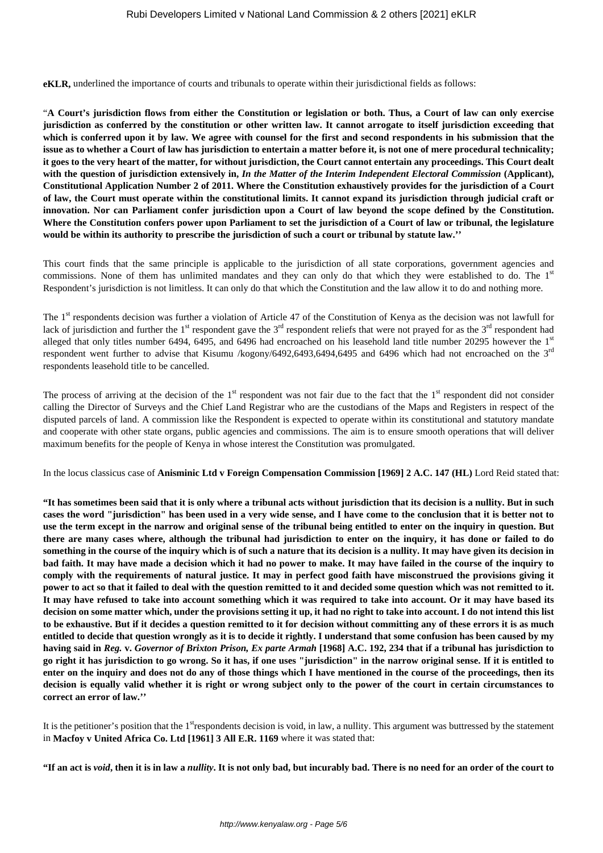**eKLR,** underlined the importance of courts and tribunals to operate within their jurisdictional fields as follows:

"**A Court's jurisdiction flows from either the Constitution or legislation or both. Thus, a Court of law can only exercise jurisdiction as conferred by the constitution or other written law. It cannot arrogate to itself jurisdiction exceeding that which is conferred upon it by law. We agree with counsel for the first and second respondents in his submission that the issue as to whether a Court of law has jurisdiction to entertain a matter before it, is not one of mere procedural technicality; it goes to the very heart of the matter, for without jurisdiction, the Court cannot entertain any proceedings. This Court dealt with the question of jurisdiction extensively in,** *In the Matter of the Interim Independent Electoral Commission* **(Applicant), Constitutional Application Number 2 of 2011. Where the Constitution exhaustively provides for the jurisdiction of a Court of law, the Court must operate within the constitutional limits. It cannot expand its jurisdiction through judicial craft or innovation. Nor can Parliament confer jurisdiction upon a Court of law beyond the scope defined by the Constitution. Where the Constitution confers power upon Parliament to set the jurisdiction of a Court of law or tribunal, the legislature would be within its authority to prescribe the jurisdiction of such a court or tribunal by statute law.''**

This court finds that the same principle is applicable to the jurisdiction of all state corporations, government agencies and commissions. None of them has unlimited mandates and they can only do that which they were established to do. The  $1<sup>st</sup>$ Respondent's jurisdiction is not limitless. It can only do that which the Constitution and the law allow it to do and nothing more.

The 1<sup>st</sup> respondents decision was further a violation of Article 47 of the Constitution of Kenya as the decision was not lawfull for lack of jurisdiction and further the 1<sup>st</sup> respondent gave the 3<sup>rd</sup> respondent reliefs that were not prayed for as the 3<sup>rd</sup> respondent had alleged that only titles number 6494, 6495, and 6496 had encroached on his leasehold land title number 20295 however the 1st respondent went further to advise that Kisumu /kogony/6492,6493,6494,6495 and 6496 which had not encroached on the  $3<sup>rd</sup>$ respondents leasehold title to be cancelled.

The process of arriving at the decision of the 1<sup>st</sup> respondent was not fair due to the fact that the  $1<sup>st</sup>$  respondent did not consider calling the Director of Surveys and the Chief Land Registrar who are the custodians of the Maps and Registers in respect of the disputed parcels of land. A commission like the Respondent is expected to operate within its constitutional and statutory mandate and cooperate with other state organs, public agencies and commissions. The aim is to ensure smooth operations that will deliver maximum benefits for the people of Kenya in whose interest the Constitution was promulgated.

In the locus classicus case of **Anisminic Ltd v Foreign Compensation Commission [1969] 2 A.C. 147 (HL)** Lord Reid stated that:

**"It has sometimes been said that it is only where a tribunal acts without jurisdiction that its decision is a nullity. But in such cases the word "jurisdiction" has been used in a very wide sense, and I have come to the conclusion that it is better not to use the term except in the narrow and original sense of the tribunal being entitled to enter on the inquiry in question. But there are many cases where, although the tribunal had jurisdiction to enter on the inquiry, it has done or failed to do something in the course of the inquiry which is of such a nature that its decision is a nullity. It may have given its decision in bad faith. It may have made a decision which it had no power to make. It may have failed in the course of the inquiry to comply with the requirements of natural justice. It may in perfect good faith have misconstrued the provisions giving it power to act so that it failed to deal with the question remitted to it and decided some question which was not remitted to it. It may have refused to take into account something which it was required to take into account. Or it may have based its decision on some matter which, under the provisions setting it up, it had no right to take into account. I do not intend this list to be exhaustive. But if it decides a question remitted to it for decision without committing any of these errors it is as much entitled to decide that question wrongly as it is to decide it rightly. I understand that some confusion has been caused by my having said in** *Reg.* **v.** *Governor of Brixton Prison, Ex parte Armah* **[1968] A.C. 192, 234 that if a tribunal has jurisdiction to go right it has jurisdiction to go wrong. So it has, if one uses "jurisdiction" in the narrow original sense. If it is entitled to enter on the inquiry and does not do any of those things which I have mentioned in the course of the proceedings, then its decision is equally valid whether it is right or wrong subject only to the power of the court in certain circumstances to correct an error of law.''** 

It is the petitioner's position that the 1<sup>st</sup>respondents decision is void, in law, a nullity. This argument was buttressed by the statement in **Macfoy v United Africa Co. Ltd [1961] 3 All E.R. 1169** where it was stated that:

**"If an act is** *void***, then it is in law a** *nullity***. It is not only bad, but incurably bad. There is no need for an order of the court to**